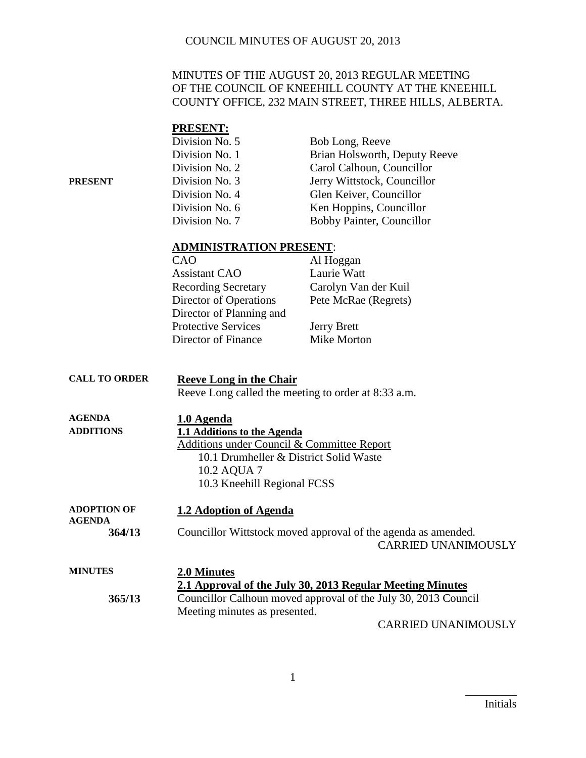### MINUTES OF THE AUGUST 20, 2013 REGULAR MEETING OF THE COUNCIL OF KNEEHILL COUNTY AT THE KNEEHILL COUNTY OFFICE, 232 MAIN STREET, THREE HILLS, ALBERTA.

|         | <b>PRESENT:</b>                |                                  |
|---------|--------------------------------|----------------------------------|
|         | Division No. 5                 | Bob Long, Reeve                  |
|         | Division No. 1                 | Brian Holsworth, Deputy Reeve    |
|         | Division No. 2                 | Carol Calhoun, Councillor        |
| PRESENT | Division No. 3                 | Jerry Wittstock, Councillor      |
|         | Division No. 4                 | Glen Keiver, Councillor          |
|         | Division No. 6                 | Ken Hoppins, Councillor          |
|         | Division No. 7                 | <b>Bobby Painter, Councillor</b> |
|         | <b>ADMINISTRATION PRESENT:</b> |                                  |
|         | CAO                            | Al Hoggan                        |
|         | <b>Assistant CAO</b>           | Laurie Watt                      |
|         | <b>Recording Secretary</b>     | Carolyn Van der Kuil             |
|         | Director of Operations         | Pete McRae (Regrets)             |
|         | Director of Planning and       |                                  |

Director of Finance

Protective Services<br>
Director of Finance<br>
Mike Morton

| <b>CALL TO ORDER</b>                | <b>Reeve Long in the Chair</b>                                                              |
|-------------------------------------|---------------------------------------------------------------------------------------------|
|                                     | Reeve Long called the meeting to order at 8:33 a.m.                                         |
| <b>AGENDA</b>                       | 1.0 Agenda                                                                                  |
| <b>ADDITIONS</b>                    | 1.1 Additions to the Agenda                                                                 |
|                                     | Additions under Council & Committee Report                                                  |
|                                     | 10.1 Drumheller & District Solid Waste                                                      |
|                                     | 10.2 AQUA 7                                                                                 |
|                                     | 10.3 Kneehill Regional FCSS                                                                 |
| <b>ADOPTION OF</b><br><b>AGENDA</b> | 1.2 Adoption of Agenda                                                                      |
| 364/13                              | Councillor Wittstock moved approval of the agenda as amended.<br><b>CARRIED UNANIMOUSLY</b> |
| <b>MINUTES</b>                      | 2.0 Minutes                                                                                 |
| 365/13                              | 2.1 Approval of the July 30, 2013 Regular Meeting Minutes                                   |
|                                     | Councillor Calhoun moved approval of the July 30, 2013 Council                              |
|                                     | Meeting minutes as presented.                                                               |
|                                     | <b>CARRIED UNANIMOUSLY</b>                                                                  |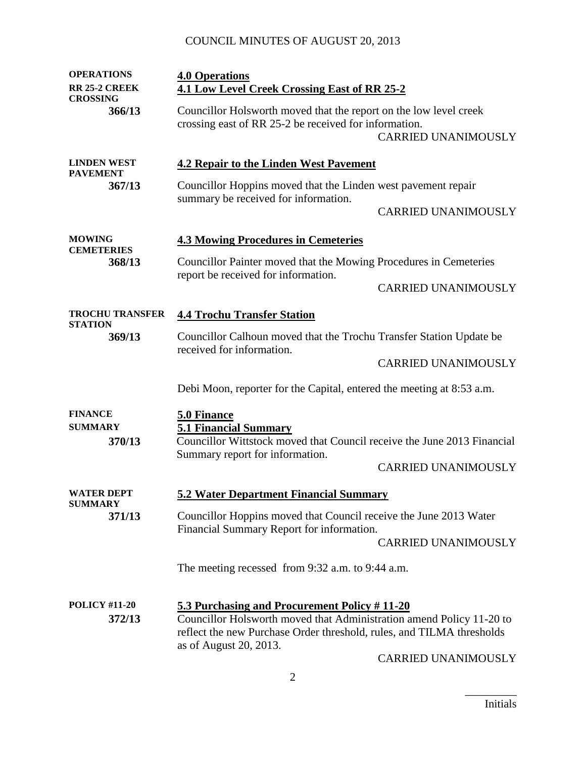| <b>OPERATIONS</b>                          | <b>4.0 Operations</b>                                                                                                                                                                                                   |                            |
|--------------------------------------------|-------------------------------------------------------------------------------------------------------------------------------------------------------------------------------------------------------------------------|----------------------------|
| <b>RR 25-2 CREEK</b>                       | <b>4.1 Low Level Creek Crossing East of RR 25-2</b>                                                                                                                                                                     |                            |
| <b>CROSSING</b><br>366/13                  | Councillor Holsworth moved that the report on the low level creek<br>crossing east of RR 25-2 be received for information.                                                                                              | <b>CARRIED UNANIMOUSLY</b> |
| <b>LINDEN WEST</b>                         | <b>4.2 Repair to the Linden West Pavement</b>                                                                                                                                                                           |                            |
| <b>PAVEMENT</b><br>367/13                  | Councillor Hoppins moved that the Linden west pavement repair<br>summary be received for information.                                                                                                                   |                            |
|                                            |                                                                                                                                                                                                                         | <b>CARRIED UNANIMOUSLY</b> |
| <b>MOWING</b><br><b>CEMETERIES</b>         | <b>4.3 Mowing Procedures in Cemeteries</b>                                                                                                                                                                              |                            |
| 368/13                                     | Councillor Painter moved that the Mowing Procedures in Cemeteries<br>report be received for information.                                                                                                                |                            |
|                                            |                                                                                                                                                                                                                         | <b>CARRIED UNANIMOUSLY</b> |
| <b>TROCHU TRANSFER</b><br><b>STATION</b>   | <b>4.4 Trochu Transfer Station</b>                                                                                                                                                                                      |                            |
| 369/13                                     | Councillor Calhoun moved that the Trochu Transfer Station Update be<br>received for information.                                                                                                                        |                            |
|                                            |                                                                                                                                                                                                                         | <b>CARRIED UNANIMOUSLY</b> |
|                                            | Debi Moon, reporter for the Capital, entered the meeting at 8:53 a.m.                                                                                                                                                   |                            |
| <b>FINANCE</b><br><b>SUMMARY</b><br>370/13 | 5.0 Finance<br><b>5.1 Financial Summary</b><br>Councillor Wittstock moved that Council receive the June 2013 Financial<br>Summary report for information.                                                               |                            |
|                                            |                                                                                                                                                                                                                         | <b>CARRIED UNANIMOUSLY</b> |
| <b>WATER DEPT</b><br><b>SUMMARY</b>        | <b>5.2 Water Department Financial Summary</b>                                                                                                                                                                           |                            |
| 371/13                                     | Councillor Hoppins moved that Council receive the June 2013 Water<br>Financial Summary Report for information.                                                                                                          | <b>CARRIED UNANIMOUSLY</b> |
|                                            | The meeting recessed from 9:32 a.m. to 9:44 a.m.                                                                                                                                                                        |                            |
| <b>POLICY #11-20</b><br>372/13             | 5.3 Purchasing and Procurement Policy #11-20<br>Councillor Holsworth moved that Administration amend Policy 11-20 to<br>reflect the new Purchase Order threshold, rules, and TILMA thresholds<br>as of August 20, 2013. | CARRIED UNANIMOUSLY        |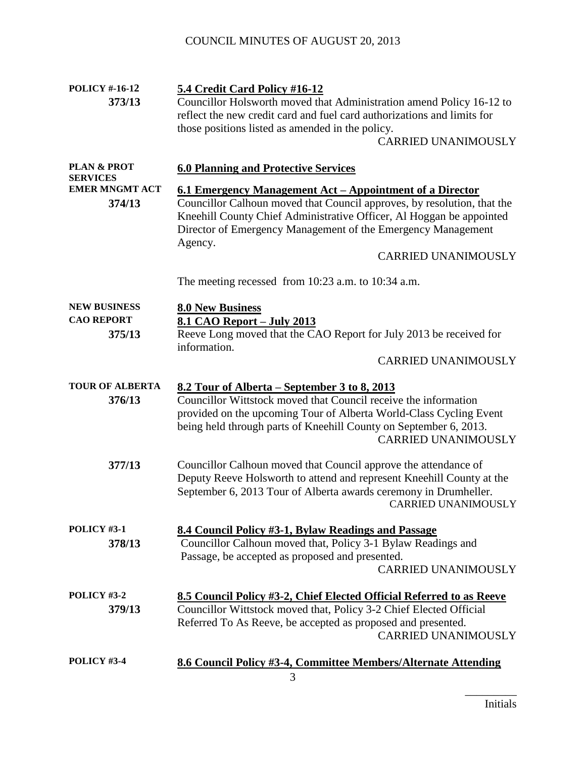| <b>POLICY #-16-12</b><br>373/13                    | 5.4 Credit Card Policy #16-12<br>Councillor Holsworth moved that Administration amend Policy 16-12 to<br>reflect the new credit card and fuel card authorizations and limits for<br>those positions listed as amended in the policy.<br><b>CARRIED UNANIMOUSLY</b>                                                   |  |
|----------------------------------------------------|----------------------------------------------------------------------------------------------------------------------------------------------------------------------------------------------------------------------------------------------------------------------------------------------------------------------|--|
| <b>PLAN &amp; PROT</b><br><b>SERVICES</b>          | <b>6.0 Planning and Protective Services</b>                                                                                                                                                                                                                                                                          |  |
| <b>EMER MNGMT ACT</b><br>374/13                    | 6.1 Emergency Management Act – Appointment of a Director<br>Councillor Calhoun moved that Council approves, by resolution, that the<br>Kneehill County Chief Administrative Officer, Al Hoggan be appointed<br>Director of Emergency Management of the Emergency Management<br>Agency.<br><b>CARRIED UNANIMOUSLY</b> |  |
|                                                    | The meeting recessed from $10:23$ a.m. to $10:34$ a.m.                                                                                                                                                                                                                                                               |  |
| <b>NEW BUSINESS</b><br><b>CAO REPORT</b><br>375/13 | <b>8.0 New Business</b><br>8.1 CAO Report - July 2013<br>Reeve Long moved that the CAO Report for July 2013 be received for<br>information.<br><b>CARRIED UNANIMOUSLY</b>                                                                                                                                            |  |
| <b>TOUR OF ALBERTA</b><br>376/13                   | <u>8.2 Tour of Alberta – September 3 to 8, 2013</u><br>Councillor Wittstock moved that Council receive the information<br>provided on the upcoming Tour of Alberta World-Class Cycling Event<br>being held through parts of Kneehill County on September 6, 2013.<br><b>CARRIED UNANIMOUSLY</b>                      |  |
| 377/13                                             | Councillor Calhoun moved that Council approve the attendance of<br>Deputy Reeve Holsworth to attend and represent Kneehill County at the<br>September 6, 2013 Tour of Alberta awards ceremony in Drumheller.<br><b>CARRIED UNANIMOUSLY</b>                                                                           |  |
| POLICY #3-1<br>378/13                              | 8.4 Council Policy #3-1, Bylaw Readings and Passage<br>Councillor Calhoun moved that, Policy 3-1 Bylaw Readings and<br>Passage, be accepted as proposed and presented.<br><b>CARRIED UNANIMOUSLY</b>                                                                                                                 |  |
| POLICY #3-2<br>379/13                              | 8.5 Council Policy #3-2, Chief Elected Official Referred to as Reeve<br>Councillor Wittstock moved that, Policy 3-2 Chief Elected Official<br>Referred To As Reeve, be accepted as proposed and presented.<br><b>CARRIED UNANIMOUSLY</b>                                                                             |  |
| POLICY #3-4                                        | 8.6 Council Policy #3-4, Committee Members/Alternate Attending                                                                                                                                                                                                                                                       |  |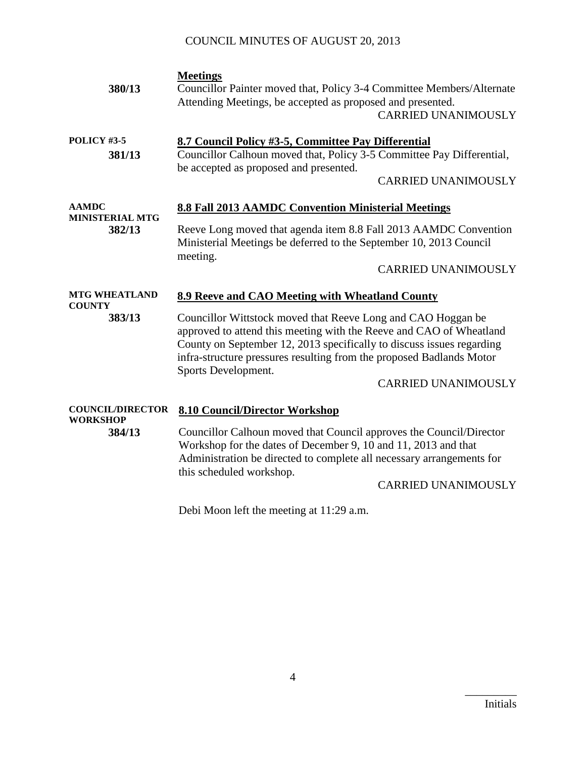| 380/13                                | <b>Meetings</b><br>Councillor Painter moved that, Policy 3-4 Committee Members/Alternate<br>Attending Meetings, be accepted as proposed and presented.<br><b>CARRIED UNANIMOUSLY</b>                                                                                                                                                      |  |
|---------------------------------------|-------------------------------------------------------------------------------------------------------------------------------------------------------------------------------------------------------------------------------------------------------------------------------------------------------------------------------------------|--|
| POLICY #3-5<br>381/13                 | 8.7 Council Policy #3-5, Committee Pay Differential<br>Councillor Calhoun moved that, Policy 3-5 Committee Pay Differential,<br>be accepted as proposed and presented.<br><b>CARRIED UNANIMOUSLY</b>                                                                                                                                      |  |
| <b>AAMDC</b>                          | 8.8 Fall 2013 AAMDC Convention Ministerial Meetings                                                                                                                                                                                                                                                                                       |  |
| <b>MINISTERIAL MTG</b><br>382/13      | Reeve Long moved that agenda item 8.8 Fall 2013 AAMDC Convention<br>Ministerial Meetings be deferred to the September 10, 2013 Council<br>meeting.                                                                                                                                                                                        |  |
|                                       | <b>CARRIED UNANIMOUSLY</b>                                                                                                                                                                                                                                                                                                                |  |
| <b>MTG WHEATLAND</b><br><b>COUNTY</b> | 8.9 Reeve and CAO Meeting with Wheatland County                                                                                                                                                                                                                                                                                           |  |
| 383/13                                | Councillor Wittstock moved that Reeve Long and CAO Hoggan be<br>approved to attend this meeting with the Reeve and CAO of Wheatland<br>County on September 12, 2013 specifically to discuss issues regarding<br>infra-structure pressures resulting from the proposed Badlands Motor<br>Sports Development.<br><b>CARRIED UNANIMOUSLY</b> |  |
| <b>COUNCIL/DIRECTOR</b>               |                                                                                                                                                                                                                                                                                                                                           |  |
| <b>WORKSHOP</b><br>384/13             | <b>8.10 Council/Director Workshop</b><br>Councillor Calhoun moved that Council approves the Council/Director<br>Workshop for the dates of December 9, 10 and 11, 2013 and that<br>Administration be directed to complete all necessary arrangements for                                                                                   |  |

Debi Moon left the meeting at 11:29 a.m.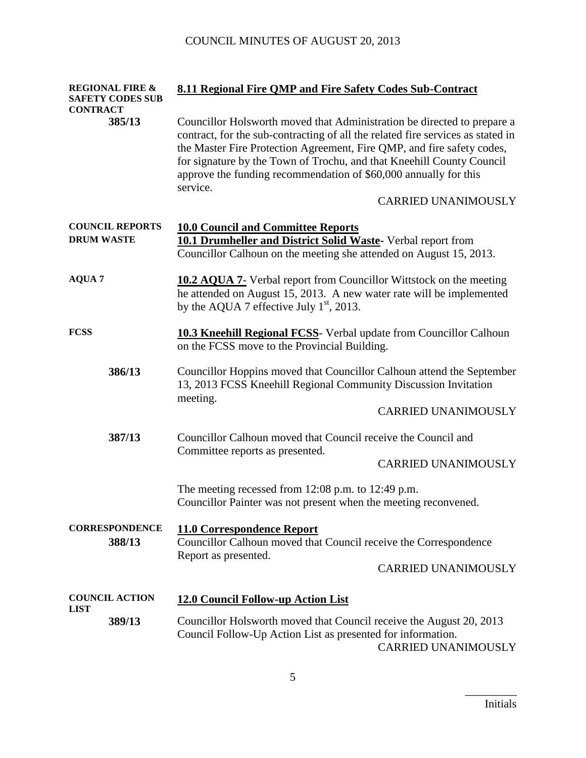| <b>CONTRACT</b>                 | <b>REGIONAL FIRE &amp;</b><br><b>SAFETY CODES SUB</b>                                                                      | 8.11 Regional Fire QMP and Fire Safety Codes Sub-Contract                                                                                                                                                                                                                                                                                                                                     |  |
|---------------------------------|----------------------------------------------------------------------------------------------------------------------------|-----------------------------------------------------------------------------------------------------------------------------------------------------------------------------------------------------------------------------------------------------------------------------------------------------------------------------------------------------------------------------------------------|--|
|                                 | 385/13                                                                                                                     | Councillor Holsworth moved that Administration be directed to prepare a<br>contract, for the sub-contracting of all the related fire services as stated in<br>the Master Fire Protection Agreement, Fire QMP, and fire safety codes,<br>for signature by the Town of Trochu, and that Kneehill County Council<br>approve the funding recommendation of \$60,000 annually for this<br>service. |  |
|                                 |                                                                                                                            | <b>CARRIED UNANIMOUSLY</b>                                                                                                                                                                                                                                                                                                                                                                    |  |
| <b>DRUM WASTE</b>               | <b>COUNCIL REPORTS</b>                                                                                                     | <b>10.0 Council and Committee Reports</b><br>10.1 Drumheller and District Solid Waste- Verbal report from<br>Councillor Calhoun on the meeting she attended on August 15, 2013.                                                                                                                                                                                                               |  |
| <b>AQUA 7</b>                   |                                                                                                                            | <b>10.2 AQUA 7-</b> Verbal report from Councillor Wittstock on the meeting<br>he attended on August 15, 2013. A new water rate will be implemented<br>by the AQUA 7 effective July $1st$ , 2013.                                                                                                                                                                                              |  |
| <b>FCSS</b>                     | <b>10.3 Kneehill Regional FCSS</b> - Verbal update from Councillor Calhoun<br>on the FCSS move to the Provincial Building. |                                                                                                                                                                                                                                                                                                                                                                                               |  |
| 386/13                          |                                                                                                                            | Councillor Hoppins moved that Councillor Calhoun attend the September<br>13, 2013 FCSS Kneehill Regional Community Discussion Invitation<br>meeting.                                                                                                                                                                                                                                          |  |
|                                 |                                                                                                                            | <b>CARRIED UNANIMOUSLY</b>                                                                                                                                                                                                                                                                                                                                                                    |  |
| 387/13                          |                                                                                                                            | Councillor Calhoun moved that Council receive the Council and<br>Committee reports as presented.                                                                                                                                                                                                                                                                                              |  |
|                                 |                                                                                                                            | <b>CARRIED UNANIMOUSLY</b>                                                                                                                                                                                                                                                                                                                                                                    |  |
|                                 |                                                                                                                            | The meeting recessed from $12:08$ p.m. to $12:49$ p.m.<br>Councillor Painter was not present when the meeting reconvened.                                                                                                                                                                                                                                                                     |  |
| <b>CORRESPONDENCE</b><br>388/13 |                                                                                                                            | <b>11.0 Correspondence Report</b><br>Councillor Calhoun moved that Council receive the Correspondence<br>Report as presented.                                                                                                                                                                                                                                                                 |  |
|                                 |                                                                                                                            | <b>CARRIED UNANIMOUSLY</b>                                                                                                                                                                                                                                                                                                                                                                    |  |
| <b>COUNCIL ACTION</b>           |                                                                                                                            | <b>12.0 Council Follow-up Action List</b>                                                                                                                                                                                                                                                                                                                                                     |  |
| <b>LIST</b>                     | 389/13                                                                                                                     | Councillor Holsworth moved that Council receive the August 20, 2013<br>Council Follow-Up Action List as presented for information.<br><b>CARRIED UNANIMOUSLY</b>                                                                                                                                                                                                                              |  |